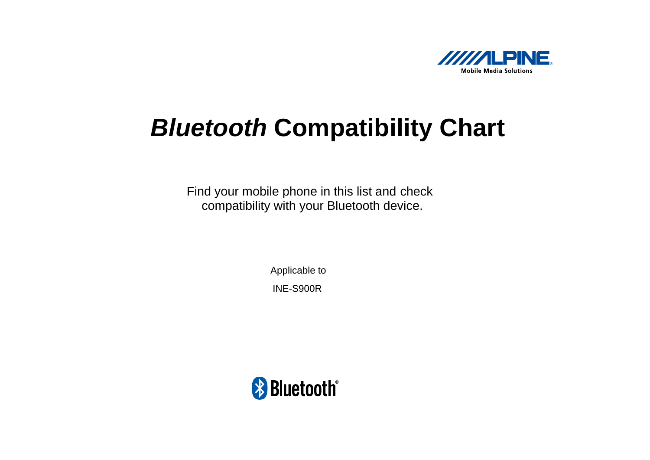

# *Bluetooth* **Compatibility Chart**

Find your mobile phone in this list and check compatibility with your Bluetooth device.

> Applicable to INE-S900R

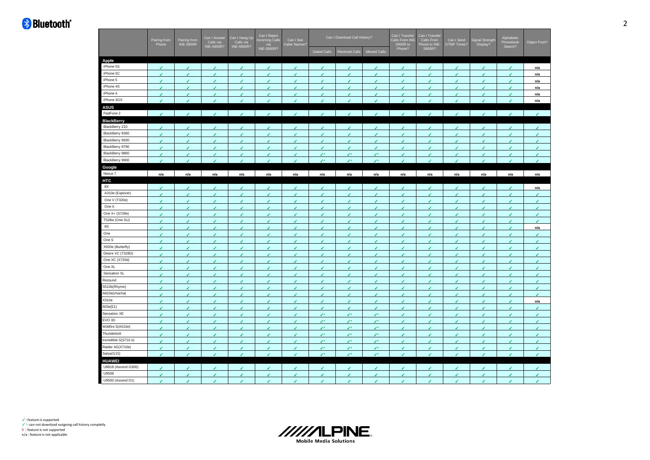| <b>INE-S900R?</b><br>S900R?<br>Phone?<br><b>Dialed Calls</b><br><b>Received Calls</b><br><b>Missed Calls</b><br>Apple<br>iPhone 5S<br>J<br>J<br>n/a<br>iPhone 5C<br>$\epsilon$<br>$\epsilon$<br>$\epsilon$<br>$\epsilon$<br>v<br>v<br>$\epsilon$<br>v<br>v<br>v<br>$\epsilon$<br>$\epsilon$<br>v<br>v<br>n/a<br>iPhone 5<br>✓<br>J<br>v<br>n/a<br>◢<br>◢<br>◢<br>ℐ<br>◢<br>◢<br>◢<br>◢<br>J<br>ℐ<br>ℐ<br>iPhone 4S<br>v<br>۷<br>J.<br>J.<br>ر<br>v<br>v<br>J<br>۷<br>J<br>٠<br>v<br>v<br>J<br>n/a<br>iPhone 4<br>n/a<br>J<br>J<br>ℐ<br>iPhone 3GS<br>n/a<br>J<br>ر<br>ر<br><b>ASUS</b><br>PadFone 2<br>$\mathcal{L}$<br>J.<br>J.<br>J.<br>$\overline{\mathcal{L}}$<br>◢<br>J.<br>J.<br>J.<br>J.<br>◢<br><b>BlackBerry</b><br>BlackBerry Z10<br>✔<br>J<br>BlackBerry 9360<br>¥.<br>J<br>J<br>J<br>v<br>✓<br>✓<br>۷<br>✔<br>J<br>s<br>ℐ<br>J<br>ℐ<br>BlackBerry 9930<br>v<br>v<br>v<br>J.<br>J<br>٠<br>J.<br>ℐ<br>J<br>◢<br>J<br>◢<br>J<br>ℐ<br>J<br>BlackBerry 9790<br>✓<br>J<br>J.<br>J<br>v<br>◢<br>J<br>J<br>J<br>◢<br>J<br>J<br>J<br>◢<br>ℐ<br>BlackBerry 9860<br>v<br>v<br>v<br>$\mathcal{L}^{\pm}$<br>$\mathcal{L}^*$<br>$\mathcal{L}^*$<br>v<br>v<br>$\epsilon$<br>v<br>✔<br>v<br>✔<br>۷<br>v<br>BlackBerry 9900<br>$\mathcal{L}^*$<br>J×<br>J×<br>J<br>J<br>◢<br>◢<br>◢<br>◢<br>◢<br>◢<br>Google<br>Nexus 7<br>n/a<br>n/a<br>n/a<br>n/a<br>n/a<br>n/a<br>n/a<br>n/a<br>n/a<br>n/a<br>n/a<br>n/a<br>n/a<br>n/a<br>n/a<br>HTC<br>8X<br>◢<br>J<br>J<br>J<br>◢<br>J<br>◢<br>◢<br>J<br>J<br>n/a<br>ℐ<br>J<br>A310e (Explorer)<br>✔<br>ℐ<br>J<br>ℐ<br>✔<br>ℐ<br>J<br>One V (T320e)<br>v<br>v<br>v<br>v<br>J.<br>v<br>v<br>J.<br>J<br>٠<br>v<br>v<br>J<br>ر<br>۷<br>One X<br>$\epsilon$<br>v<br>v<br>✔<br>✔<br>✔<br>v<br>✔<br>✔<br>v<br>۷<br>٠<br>✔<br>✔<br>✓<br>One X+ (S728e)<br>v<br>J<br>v<br>v<br>v<br>٠<br>v<br>v<br>v<br>$\overline{\phantom{a}}$<br>٠<br>ر<br>٠<br>✔<br>◢<br>T528w (One SU)<br>v.<br>v<br>v.<br>J.<br>v<br>¥.<br>J.<br>J.<br>v.<br>✔<br>v<br>v<br>٠<br>٠<br>v<br><b>8S</b><br>✔<br>n/a<br>J<br>ℐ<br>✔<br>J<br>ℐ<br>◢<br>ℐ<br>✔<br>One<br>J<br>J<br>J<br>J.<br>k.<br>٠<br>v<br>J<br>v<br>✓<br>í<br>J<br>J<br>◢<br>J<br>One S<br>J.<br>v<br>J<br>v<br>v<br>↙<br>v<br>J.<br>٠<br>J<br>v<br>v<br>J<br>J<br>J<br>X920e (Butterfly)<br>J.<br>✓<br>J<br>s<br>s<br>◢<br>J<br>J<br>J<br>◢<br>◢<br>J<br>J<br>◢<br>ℐ<br>Desire VC (T328D)<br>v.<br>v<br>v<br>v<br>$\epsilon$<br>v<br>v.<br>v<br>v.<br>v<br>v.<br>v<br>✓<br>v<br>v<br>One XC (X720d)<br>✔<br>J<br>ℐ<br>J<br>ℐ<br>J<br>J<br>◢<br>ℐ<br>✔<br>One XL<br>J<br>٠<br>v<br>J<br>J<br>J<br>ℐ<br>J<br>J<br>ℐ<br>J<br>J<br>◢<br>◢<br>Sensation XL<br>J<br>J<br>v<br>J<br>J<br>J<br>۷<br>J<br>J<br>✔<br>J<br>✔<br>J<br>Rezound<br>J<br>s<br>◢<br>v<br>J<br>J<br>J<br>◢<br>◢<br>◢<br>◢<br>J<br>J<br>ℐ<br>S510b(Rhyme)<br>v<br>v<br>✓<br>J<br>J.<br>◢<br>✓<br>✓<br>✓<br>◢<br>ر<br>◢<br>✔<br>J<br>◢<br>A810e(chacha)<br>✔<br>J<br>J<br>✔<br>J<br>ℐ<br>J<br>J<br>ℐ<br>✔<br>J<br>✔<br>✔<br>X310e<br>J<br>s<br>J.<br>J<br>J.<br>J.<br>٠<br>J.<br>ر<br>s<br>n/a<br>J<br>J<br>◢<br>603e(E1)<br>J<br>J<br>J<br>✔<br>J<br>✔<br>J<br>J<br>◢<br>✔<br>✔<br>J<br>✔<br>ℐ<br>Sensation XE<br>z.<br>J×<br>J.<br>◢<br>J<br>J<br>EVO 3D<br>$\epsilon$<br>v<br>$\epsilon$<br>J.<br>$\mathcal{L}^{\pm}$<br>$\mathcal{L}^{\infty}$<br>$\mathcal{L}^*$<br>v<br>v<br>v<br>$\epsilon$<br>v<br>✓<br>✔<br>✔<br>Wildfire S(A510e)<br>$\mathcal{L}^*$<br>J×<br>ℐ<br>J<br>╭<br>J<br>ℐ<br>Thunderbolt<br>z.<br>z.<br>J<br>J.<br>J<br>J<br>J<br>J<br>J<br>ر<br>s<br>ℐ<br>◢<br>Incredible S(S710 e)<br>J<br>$\mathcal{L}^{\pm}$<br>z.<br>J.<br>J<br>v<br>v<br>✔<br>v<br>J×<br>J<br>٠<br>v<br>J.<br>ℐ<br>Raider 4G(X710e)<br>$\mathcal{L}^*$<br>$\mathcal{L}^*$<br>$\mathcal{L}^*$<br>v<br>v<br>J<br>v<br>J.<br>J<br>J.<br>v<br>v<br>◢<br>✔<br>ℐ<br>Salsa(G15)<br>Ÿ.<br>$\mathcal{L}^*$<br>$\mathcal{L}^*$<br>$\mathcal{L}^*$<br>J<br>v<br>J<br>J<br>٠<br>۷<br>J<br><b>HUAWEI</b><br>U8818 (Ascend G300)<br>J<br>ر<br>J.<br>ℐ<br>J<br>J<br>J<br>◢<br>◢<br>U9508<br>v<br>v<br>J<br>J<br>J<br>J<br>J<br>J<br>۷<br>J<br>✔<br>◢<br>J<br>U9500 (Ascend D1)<br>J.<br>v<br>J<br>J<br>◢<br>٠<br>v<br>J<br>J<br>٠<br>ر<br>ر<br>J<br>v<br>J | Pairing from<br>Pairing from<br>INE-S900R<br>Phone |  | Can I Answer<br>Calls via | Can I Hang Up<br>Calls via<br>INE-S900R? | Can I Reject<br>ncoming Calls<br>via | Can I See<br>Caller Names? | Can I Download Call History? | Can I Transfer<br>Calls From INE-<br>S900R to | Can I Transfer<br>Calls From<br>Phone to INE- | Can I Send<br><b>DTMF Tones?</b> | ignal Strength<br>Display? | Alphabetic<br>Phonebook<br>Search? | Object Push? |
|-----------------------------------------------------------------------------------------------------------------------------------------------------------------------------------------------------------------------------------------------------------------------------------------------------------------------------------------------------------------------------------------------------------------------------------------------------------------------------------------------------------------------------------------------------------------------------------------------------------------------------------------------------------------------------------------------------------------------------------------------------------------------------------------------------------------------------------------------------------------------------------------------------------------------------------------------------------------------------------------------------------------------------------------------------------------------------------------------------------------------------------------------------------------------------------------------------------------------------------------------------------------------------------------------------------------------------------------------------------------------------------------------------------------------------------------------------------------------------------------------------------------------------------------------------------------------------------------------------------------------------------------------------------------------------------------------------------------------------------------------------------------------------------------------------------------------------------------------------------------------------------------------------------------------------------------------------------------------------------------------------------------------------------------------------------------------------------------------------------------------------------------------------------------------------------------------------------------------------------------------------------------------------------------------------------------------------------------------------------------------------------------------------------------------------------------------------------------------------------------------------------------------------------------------------------------------------------------------------------------------------------------------------------------------------------------------------------------------------------------------------------------------------------------------------------------------------------------------------------------------------------------------------------------------------------------------------------------------------------------------------------------------------------------------------------------------------------------------------------------------------------------------------------------------------------------------------------------------------------------------------------------------------------------------------------------------------------------------------------------------------------------------------------------------------------------------------------------------------------------------------------------------------------------------------------------------------------------------------------------------------------------------------------------------------------------------------------------------------------------------------------------------------------------------------------------------------------------------------------------------------------------------------------------------------------------------------------------------------------------------------------------------------------------------------------------------------------------------------------------------------------------------------------------|----------------------------------------------------|--|---------------------------|------------------------------------------|--------------------------------------|----------------------------|------------------------------|-----------------------------------------------|-----------------------------------------------|----------------------------------|----------------------------|------------------------------------|--------------|
|                                                                                                                                                                                                                                                                                                                                                                                                                                                                                                                                                                                                                                                                                                                                                                                                                                                                                                                                                                                                                                                                                                                                                                                                                                                                                                                                                                                                                                                                                                                                                                                                                                                                                                                                                                                                                                                                                                                                                                                                                                                                                                                                                                                                                                                                                                                                                                                                                                                                                                                                                                                                                                                                                                                                                                                                                                                                                                                                                                                                                                                                                                                                                                                                                                                                                                                                                                                                                                                                                                                                                                                                                                                                                                                                                                                                                                                                                                                                                                                                                                                                                                                                                                 |                                                    |  | <b>INE-S900R?</b>         |                                          |                                      |                            |                              |                                               |                                               |                                  |                            |                                    |              |
|                                                                                                                                                                                                                                                                                                                                                                                                                                                                                                                                                                                                                                                                                                                                                                                                                                                                                                                                                                                                                                                                                                                                                                                                                                                                                                                                                                                                                                                                                                                                                                                                                                                                                                                                                                                                                                                                                                                                                                                                                                                                                                                                                                                                                                                                                                                                                                                                                                                                                                                                                                                                                                                                                                                                                                                                                                                                                                                                                                                                                                                                                                                                                                                                                                                                                                                                                                                                                                                                                                                                                                                                                                                                                                                                                                                                                                                                                                                                                                                                                                                                                                                                                                 |                                                    |  |                           |                                          |                                      |                            |                              |                                               |                                               |                                  |                            |                                    |              |
|                                                                                                                                                                                                                                                                                                                                                                                                                                                                                                                                                                                                                                                                                                                                                                                                                                                                                                                                                                                                                                                                                                                                                                                                                                                                                                                                                                                                                                                                                                                                                                                                                                                                                                                                                                                                                                                                                                                                                                                                                                                                                                                                                                                                                                                                                                                                                                                                                                                                                                                                                                                                                                                                                                                                                                                                                                                                                                                                                                                                                                                                                                                                                                                                                                                                                                                                                                                                                                                                                                                                                                                                                                                                                                                                                                                                                                                                                                                                                                                                                                                                                                                                                                 |                                                    |  |                           |                                          |                                      |                            |                              |                                               |                                               |                                  |                            |                                    |              |
|                                                                                                                                                                                                                                                                                                                                                                                                                                                                                                                                                                                                                                                                                                                                                                                                                                                                                                                                                                                                                                                                                                                                                                                                                                                                                                                                                                                                                                                                                                                                                                                                                                                                                                                                                                                                                                                                                                                                                                                                                                                                                                                                                                                                                                                                                                                                                                                                                                                                                                                                                                                                                                                                                                                                                                                                                                                                                                                                                                                                                                                                                                                                                                                                                                                                                                                                                                                                                                                                                                                                                                                                                                                                                                                                                                                                                                                                                                                                                                                                                                                                                                                                                                 |                                                    |  |                           |                                          |                                      |                            |                              |                                               |                                               |                                  |                            |                                    |              |
|                                                                                                                                                                                                                                                                                                                                                                                                                                                                                                                                                                                                                                                                                                                                                                                                                                                                                                                                                                                                                                                                                                                                                                                                                                                                                                                                                                                                                                                                                                                                                                                                                                                                                                                                                                                                                                                                                                                                                                                                                                                                                                                                                                                                                                                                                                                                                                                                                                                                                                                                                                                                                                                                                                                                                                                                                                                                                                                                                                                                                                                                                                                                                                                                                                                                                                                                                                                                                                                                                                                                                                                                                                                                                                                                                                                                                                                                                                                                                                                                                                                                                                                                                                 |                                                    |  |                           |                                          |                                      |                            |                              |                                               |                                               |                                  |                            |                                    |              |
|                                                                                                                                                                                                                                                                                                                                                                                                                                                                                                                                                                                                                                                                                                                                                                                                                                                                                                                                                                                                                                                                                                                                                                                                                                                                                                                                                                                                                                                                                                                                                                                                                                                                                                                                                                                                                                                                                                                                                                                                                                                                                                                                                                                                                                                                                                                                                                                                                                                                                                                                                                                                                                                                                                                                                                                                                                                                                                                                                                                                                                                                                                                                                                                                                                                                                                                                                                                                                                                                                                                                                                                                                                                                                                                                                                                                                                                                                                                                                                                                                                                                                                                                                                 |                                                    |  |                           |                                          |                                      |                            |                              |                                               |                                               |                                  |                            |                                    |              |
|                                                                                                                                                                                                                                                                                                                                                                                                                                                                                                                                                                                                                                                                                                                                                                                                                                                                                                                                                                                                                                                                                                                                                                                                                                                                                                                                                                                                                                                                                                                                                                                                                                                                                                                                                                                                                                                                                                                                                                                                                                                                                                                                                                                                                                                                                                                                                                                                                                                                                                                                                                                                                                                                                                                                                                                                                                                                                                                                                                                                                                                                                                                                                                                                                                                                                                                                                                                                                                                                                                                                                                                                                                                                                                                                                                                                                                                                                                                                                                                                                                                                                                                                                                 |                                                    |  |                           |                                          |                                      |                            |                              |                                               |                                               |                                  |                            |                                    |              |
|                                                                                                                                                                                                                                                                                                                                                                                                                                                                                                                                                                                                                                                                                                                                                                                                                                                                                                                                                                                                                                                                                                                                                                                                                                                                                                                                                                                                                                                                                                                                                                                                                                                                                                                                                                                                                                                                                                                                                                                                                                                                                                                                                                                                                                                                                                                                                                                                                                                                                                                                                                                                                                                                                                                                                                                                                                                                                                                                                                                                                                                                                                                                                                                                                                                                                                                                                                                                                                                                                                                                                                                                                                                                                                                                                                                                                                                                                                                                                                                                                                                                                                                                                                 |                                                    |  |                           |                                          |                                      |                            |                              |                                               |                                               |                                  |                            |                                    |              |
|                                                                                                                                                                                                                                                                                                                                                                                                                                                                                                                                                                                                                                                                                                                                                                                                                                                                                                                                                                                                                                                                                                                                                                                                                                                                                                                                                                                                                                                                                                                                                                                                                                                                                                                                                                                                                                                                                                                                                                                                                                                                                                                                                                                                                                                                                                                                                                                                                                                                                                                                                                                                                                                                                                                                                                                                                                                                                                                                                                                                                                                                                                                                                                                                                                                                                                                                                                                                                                                                                                                                                                                                                                                                                                                                                                                                                                                                                                                                                                                                                                                                                                                                                                 |                                                    |  |                           |                                          |                                      |                            |                              |                                               |                                               |                                  |                            |                                    |              |
|                                                                                                                                                                                                                                                                                                                                                                                                                                                                                                                                                                                                                                                                                                                                                                                                                                                                                                                                                                                                                                                                                                                                                                                                                                                                                                                                                                                                                                                                                                                                                                                                                                                                                                                                                                                                                                                                                                                                                                                                                                                                                                                                                                                                                                                                                                                                                                                                                                                                                                                                                                                                                                                                                                                                                                                                                                                                                                                                                                                                                                                                                                                                                                                                                                                                                                                                                                                                                                                                                                                                                                                                                                                                                                                                                                                                                                                                                                                                                                                                                                                                                                                                                                 |                                                    |  |                           |                                          |                                      |                            |                              |                                               |                                               |                                  |                            |                                    |              |
|                                                                                                                                                                                                                                                                                                                                                                                                                                                                                                                                                                                                                                                                                                                                                                                                                                                                                                                                                                                                                                                                                                                                                                                                                                                                                                                                                                                                                                                                                                                                                                                                                                                                                                                                                                                                                                                                                                                                                                                                                                                                                                                                                                                                                                                                                                                                                                                                                                                                                                                                                                                                                                                                                                                                                                                                                                                                                                                                                                                                                                                                                                                                                                                                                                                                                                                                                                                                                                                                                                                                                                                                                                                                                                                                                                                                                                                                                                                                                                                                                                                                                                                                                                 |                                                    |  |                           |                                          |                                      |                            |                              |                                               |                                               |                                  |                            |                                    |              |
|                                                                                                                                                                                                                                                                                                                                                                                                                                                                                                                                                                                                                                                                                                                                                                                                                                                                                                                                                                                                                                                                                                                                                                                                                                                                                                                                                                                                                                                                                                                                                                                                                                                                                                                                                                                                                                                                                                                                                                                                                                                                                                                                                                                                                                                                                                                                                                                                                                                                                                                                                                                                                                                                                                                                                                                                                                                                                                                                                                                                                                                                                                                                                                                                                                                                                                                                                                                                                                                                                                                                                                                                                                                                                                                                                                                                                                                                                                                                                                                                                                                                                                                                                                 |                                                    |  |                           |                                          |                                      |                            |                              |                                               |                                               |                                  |                            |                                    |              |
|                                                                                                                                                                                                                                                                                                                                                                                                                                                                                                                                                                                                                                                                                                                                                                                                                                                                                                                                                                                                                                                                                                                                                                                                                                                                                                                                                                                                                                                                                                                                                                                                                                                                                                                                                                                                                                                                                                                                                                                                                                                                                                                                                                                                                                                                                                                                                                                                                                                                                                                                                                                                                                                                                                                                                                                                                                                                                                                                                                                                                                                                                                                                                                                                                                                                                                                                                                                                                                                                                                                                                                                                                                                                                                                                                                                                                                                                                                                                                                                                                                                                                                                                                                 |                                                    |  |                           |                                          |                                      |                            |                              |                                               |                                               |                                  |                            |                                    |              |
|                                                                                                                                                                                                                                                                                                                                                                                                                                                                                                                                                                                                                                                                                                                                                                                                                                                                                                                                                                                                                                                                                                                                                                                                                                                                                                                                                                                                                                                                                                                                                                                                                                                                                                                                                                                                                                                                                                                                                                                                                                                                                                                                                                                                                                                                                                                                                                                                                                                                                                                                                                                                                                                                                                                                                                                                                                                                                                                                                                                                                                                                                                                                                                                                                                                                                                                                                                                                                                                                                                                                                                                                                                                                                                                                                                                                                                                                                                                                                                                                                                                                                                                                                                 |                                                    |  |                           |                                          |                                      |                            |                              |                                               |                                               |                                  |                            |                                    |              |
|                                                                                                                                                                                                                                                                                                                                                                                                                                                                                                                                                                                                                                                                                                                                                                                                                                                                                                                                                                                                                                                                                                                                                                                                                                                                                                                                                                                                                                                                                                                                                                                                                                                                                                                                                                                                                                                                                                                                                                                                                                                                                                                                                                                                                                                                                                                                                                                                                                                                                                                                                                                                                                                                                                                                                                                                                                                                                                                                                                                                                                                                                                                                                                                                                                                                                                                                                                                                                                                                                                                                                                                                                                                                                                                                                                                                                                                                                                                                                                                                                                                                                                                                                                 |                                                    |  |                           |                                          |                                      |                            |                              |                                               |                                               |                                  |                            |                                    |              |
|                                                                                                                                                                                                                                                                                                                                                                                                                                                                                                                                                                                                                                                                                                                                                                                                                                                                                                                                                                                                                                                                                                                                                                                                                                                                                                                                                                                                                                                                                                                                                                                                                                                                                                                                                                                                                                                                                                                                                                                                                                                                                                                                                                                                                                                                                                                                                                                                                                                                                                                                                                                                                                                                                                                                                                                                                                                                                                                                                                                                                                                                                                                                                                                                                                                                                                                                                                                                                                                                                                                                                                                                                                                                                                                                                                                                                                                                                                                                                                                                                                                                                                                                                                 |                                                    |  |                           |                                          |                                      |                            |                              |                                               |                                               |                                  |                            |                                    |              |
|                                                                                                                                                                                                                                                                                                                                                                                                                                                                                                                                                                                                                                                                                                                                                                                                                                                                                                                                                                                                                                                                                                                                                                                                                                                                                                                                                                                                                                                                                                                                                                                                                                                                                                                                                                                                                                                                                                                                                                                                                                                                                                                                                                                                                                                                                                                                                                                                                                                                                                                                                                                                                                                                                                                                                                                                                                                                                                                                                                                                                                                                                                                                                                                                                                                                                                                                                                                                                                                                                                                                                                                                                                                                                                                                                                                                                                                                                                                                                                                                                                                                                                                                                                 |                                                    |  |                           |                                          |                                      |                            |                              |                                               |                                               |                                  |                            |                                    |              |
|                                                                                                                                                                                                                                                                                                                                                                                                                                                                                                                                                                                                                                                                                                                                                                                                                                                                                                                                                                                                                                                                                                                                                                                                                                                                                                                                                                                                                                                                                                                                                                                                                                                                                                                                                                                                                                                                                                                                                                                                                                                                                                                                                                                                                                                                                                                                                                                                                                                                                                                                                                                                                                                                                                                                                                                                                                                                                                                                                                                                                                                                                                                                                                                                                                                                                                                                                                                                                                                                                                                                                                                                                                                                                                                                                                                                                                                                                                                                                                                                                                                                                                                                                                 |                                                    |  |                           |                                          |                                      |                            |                              |                                               |                                               |                                  |                            |                                    |              |
|                                                                                                                                                                                                                                                                                                                                                                                                                                                                                                                                                                                                                                                                                                                                                                                                                                                                                                                                                                                                                                                                                                                                                                                                                                                                                                                                                                                                                                                                                                                                                                                                                                                                                                                                                                                                                                                                                                                                                                                                                                                                                                                                                                                                                                                                                                                                                                                                                                                                                                                                                                                                                                                                                                                                                                                                                                                                                                                                                                                                                                                                                                                                                                                                                                                                                                                                                                                                                                                                                                                                                                                                                                                                                                                                                                                                                                                                                                                                                                                                                                                                                                                                                                 |                                                    |  |                           |                                          |                                      |                            |                              |                                               |                                               |                                  |                            |                                    |              |
|                                                                                                                                                                                                                                                                                                                                                                                                                                                                                                                                                                                                                                                                                                                                                                                                                                                                                                                                                                                                                                                                                                                                                                                                                                                                                                                                                                                                                                                                                                                                                                                                                                                                                                                                                                                                                                                                                                                                                                                                                                                                                                                                                                                                                                                                                                                                                                                                                                                                                                                                                                                                                                                                                                                                                                                                                                                                                                                                                                                                                                                                                                                                                                                                                                                                                                                                                                                                                                                                                                                                                                                                                                                                                                                                                                                                                                                                                                                                                                                                                                                                                                                                                                 |                                                    |  |                           |                                          |                                      |                            |                              |                                               |                                               |                                  |                            |                                    |              |
|                                                                                                                                                                                                                                                                                                                                                                                                                                                                                                                                                                                                                                                                                                                                                                                                                                                                                                                                                                                                                                                                                                                                                                                                                                                                                                                                                                                                                                                                                                                                                                                                                                                                                                                                                                                                                                                                                                                                                                                                                                                                                                                                                                                                                                                                                                                                                                                                                                                                                                                                                                                                                                                                                                                                                                                                                                                                                                                                                                                                                                                                                                                                                                                                                                                                                                                                                                                                                                                                                                                                                                                                                                                                                                                                                                                                                                                                                                                                                                                                                                                                                                                                                                 |                                                    |  |                           |                                          |                                      |                            |                              |                                               |                                               |                                  |                            |                                    |              |
|                                                                                                                                                                                                                                                                                                                                                                                                                                                                                                                                                                                                                                                                                                                                                                                                                                                                                                                                                                                                                                                                                                                                                                                                                                                                                                                                                                                                                                                                                                                                                                                                                                                                                                                                                                                                                                                                                                                                                                                                                                                                                                                                                                                                                                                                                                                                                                                                                                                                                                                                                                                                                                                                                                                                                                                                                                                                                                                                                                                                                                                                                                                                                                                                                                                                                                                                                                                                                                                                                                                                                                                                                                                                                                                                                                                                                                                                                                                                                                                                                                                                                                                                                                 |                                                    |  |                           |                                          |                                      |                            |                              |                                               |                                               |                                  |                            |                                    |              |
|                                                                                                                                                                                                                                                                                                                                                                                                                                                                                                                                                                                                                                                                                                                                                                                                                                                                                                                                                                                                                                                                                                                                                                                                                                                                                                                                                                                                                                                                                                                                                                                                                                                                                                                                                                                                                                                                                                                                                                                                                                                                                                                                                                                                                                                                                                                                                                                                                                                                                                                                                                                                                                                                                                                                                                                                                                                                                                                                                                                                                                                                                                                                                                                                                                                                                                                                                                                                                                                                                                                                                                                                                                                                                                                                                                                                                                                                                                                                                                                                                                                                                                                                                                 |                                                    |  |                           |                                          |                                      |                            |                              |                                               |                                               |                                  |                            |                                    |              |
|                                                                                                                                                                                                                                                                                                                                                                                                                                                                                                                                                                                                                                                                                                                                                                                                                                                                                                                                                                                                                                                                                                                                                                                                                                                                                                                                                                                                                                                                                                                                                                                                                                                                                                                                                                                                                                                                                                                                                                                                                                                                                                                                                                                                                                                                                                                                                                                                                                                                                                                                                                                                                                                                                                                                                                                                                                                                                                                                                                                                                                                                                                                                                                                                                                                                                                                                                                                                                                                                                                                                                                                                                                                                                                                                                                                                                                                                                                                                                                                                                                                                                                                                                                 |                                                    |  |                           |                                          |                                      |                            |                              |                                               |                                               |                                  |                            |                                    |              |
|                                                                                                                                                                                                                                                                                                                                                                                                                                                                                                                                                                                                                                                                                                                                                                                                                                                                                                                                                                                                                                                                                                                                                                                                                                                                                                                                                                                                                                                                                                                                                                                                                                                                                                                                                                                                                                                                                                                                                                                                                                                                                                                                                                                                                                                                                                                                                                                                                                                                                                                                                                                                                                                                                                                                                                                                                                                                                                                                                                                                                                                                                                                                                                                                                                                                                                                                                                                                                                                                                                                                                                                                                                                                                                                                                                                                                                                                                                                                                                                                                                                                                                                                                                 |                                                    |  |                           |                                          |                                      |                            |                              |                                               |                                               |                                  |                            |                                    |              |
|                                                                                                                                                                                                                                                                                                                                                                                                                                                                                                                                                                                                                                                                                                                                                                                                                                                                                                                                                                                                                                                                                                                                                                                                                                                                                                                                                                                                                                                                                                                                                                                                                                                                                                                                                                                                                                                                                                                                                                                                                                                                                                                                                                                                                                                                                                                                                                                                                                                                                                                                                                                                                                                                                                                                                                                                                                                                                                                                                                                                                                                                                                                                                                                                                                                                                                                                                                                                                                                                                                                                                                                                                                                                                                                                                                                                                                                                                                                                                                                                                                                                                                                                                                 |                                                    |  |                           |                                          |                                      |                            |                              |                                               |                                               |                                  |                            |                                    |              |
|                                                                                                                                                                                                                                                                                                                                                                                                                                                                                                                                                                                                                                                                                                                                                                                                                                                                                                                                                                                                                                                                                                                                                                                                                                                                                                                                                                                                                                                                                                                                                                                                                                                                                                                                                                                                                                                                                                                                                                                                                                                                                                                                                                                                                                                                                                                                                                                                                                                                                                                                                                                                                                                                                                                                                                                                                                                                                                                                                                                                                                                                                                                                                                                                                                                                                                                                                                                                                                                                                                                                                                                                                                                                                                                                                                                                                                                                                                                                                                                                                                                                                                                                                                 |                                                    |  |                           |                                          |                                      |                            |                              |                                               |                                               |                                  |                            |                                    |              |
|                                                                                                                                                                                                                                                                                                                                                                                                                                                                                                                                                                                                                                                                                                                                                                                                                                                                                                                                                                                                                                                                                                                                                                                                                                                                                                                                                                                                                                                                                                                                                                                                                                                                                                                                                                                                                                                                                                                                                                                                                                                                                                                                                                                                                                                                                                                                                                                                                                                                                                                                                                                                                                                                                                                                                                                                                                                                                                                                                                                                                                                                                                                                                                                                                                                                                                                                                                                                                                                                                                                                                                                                                                                                                                                                                                                                                                                                                                                                                                                                                                                                                                                                                                 |                                                    |  |                           |                                          |                                      |                            |                              |                                               |                                               |                                  |                            |                                    |              |
|                                                                                                                                                                                                                                                                                                                                                                                                                                                                                                                                                                                                                                                                                                                                                                                                                                                                                                                                                                                                                                                                                                                                                                                                                                                                                                                                                                                                                                                                                                                                                                                                                                                                                                                                                                                                                                                                                                                                                                                                                                                                                                                                                                                                                                                                                                                                                                                                                                                                                                                                                                                                                                                                                                                                                                                                                                                                                                                                                                                                                                                                                                                                                                                                                                                                                                                                                                                                                                                                                                                                                                                                                                                                                                                                                                                                                                                                                                                                                                                                                                                                                                                                                                 |                                                    |  |                           |                                          |                                      |                            |                              |                                               |                                               |                                  |                            |                                    |              |
|                                                                                                                                                                                                                                                                                                                                                                                                                                                                                                                                                                                                                                                                                                                                                                                                                                                                                                                                                                                                                                                                                                                                                                                                                                                                                                                                                                                                                                                                                                                                                                                                                                                                                                                                                                                                                                                                                                                                                                                                                                                                                                                                                                                                                                                                                                                                                                                                                                                                                                                                                                                                                                                                                                                                                                                                                                                                                                                                                                                                                                                                                                                                                                                                                                                                                                                                                                                                                                                                                                                                                                                                                                                                                                                                                                                                                                                                                                                                                                                                                                                                                                                                                                 |                                                    |  |                           |                                          |                                      |                            |                              |                                               |                                               |                                  |                            |                                    |              |
|                                                                                                                                                                                                                                                                                                                                                                                                                                                                                                                                                                                                                                                                                                                                                                                                                                                                                                                                                                                                                                                                                                                                                                                                                                                                                                                                                                                                                                                                                                                                                                                                                                                                                                                                                                                                                                                                                                                                                                                                                                                                                                                                                                                                                                                                                                                                                                                                                                                                                                                                                                                                                                                                                                                                                                                                                                                                                                                                                                                                                                                                                                                                                                                                                                                                                                                                                                                                                                                                                                                                                                                                                                                                                                                                                                                                                                                                                                                                                                                                                                                                                                                                                                 |                                                    |  |                           |                                          |                                      |                            |                              |                                               |                                               |                                  |                            |                                    |              |
|                                                                                                                                                                                                                                                                                                                                                                                                                                                                                                                                                                                                                                                                                                                                                                                                                                                                                                                                                                                                                                                                                                                                                                                                                                                                                                                                                                                                                                                                                                                                                                                                                                                                                                                                                                                                                                                                                                                                                                                                                                                                                                                                                                                                                                                                                                                                                                                                                                                                                                                                                                                                                                                                                                                                                                                                                                                                                                                                                                                                                                                                                                                                                                                                                                                                                                                                                                                                                                                                                                                                                                                                                                                                                                                                                                                                                                                                                                                                                                                                                                                                                                                                                                 |                                                    |  |                           |                                          |                                      |                            |                              |                                               |                                               |                                  |                            |                                    |              |
|                                                                                                                                                                                                                                                                                                                                                                                                                                                                                                                                                                                                                                                                                                                                                                                                                                                                                                                                                                                                                                                                                                                                                                                                                                                                                                                                                                                                                                                                                                                                                                                                                                                                                                                                                                                                                                                                                                                                                                                                                                                                                                                                                                                                                                                                                                                                                                                                                                                                                                                                                                                                                                                                                                                                                                                                                                                                                                                                                                                                                                                                                                                                                                                                                                                                                                                                                                                                                                                                                                                                                                                                                                                                                                                                                                                                                                                                                                                                                                                                                                                                                                                                                                 |                                                    |  |                           |                                          |                                      |                            |                              |                                               |                                               |                                  |                            |                                    |              |
|                                                                                                                                                                                                                                                                                                                                                                                                                                                                                                                                                                                                                                                                                                                                                                                                                                                                                                                                                                                                                                                                                                                                                                                                                                                                                                                                                                                                                                                                                                                                                                                                                                                                                                                                                                                                                                                                                                                                                                                                                                                                                                                                                                                                                                                                                                                                                                                                                                                                                                                                                                                                                                                                                                                                                                                                                                                                                                                                                                                                                                                                                                                                                                                                                                                                                                                                                                                                                                                                                                                                                                                                                                                                                                                                                                                                                                                                                                                                                                                                                                                                                                                                                                 |                                                    |  |                           |                                          |                                      |                            |                              |                                               |                                               |                                  |                            |                                    |              |
|                                                                                                                                                                                                                                                                                                                                                                                                                                                                                                                                                                                                                                                                                                                                                                                                                                                                                                                                                                                                                                                                                                                                                                                                                                                                                                                                                                                                                                                                                                                                                                                                                                                                                                                                                                                                                                                                                                                                                                                                                                                                                                                                                                                                                                                                                                                                                                                                                                                                                                                                                                                                                                                                                                                                                                                                                                                                                                                                                                                                                                                                                                                                                                                                                                                                                                                                                                                                                                                                                                                                                                                                                                                                                                                                                                                                                                                                                                                                                                                                                                                                                                                                                                 |                                                    |  |                           |                                          |                                      |                            |                              |                                               |                                               |                                  |                            |                                    |              |
|                                                                                                                                                                                                                                                                                                                                                                                                                                                                                                                                                                                                                                                                                                                                                                                                                                                                                                                                                                                                                                                                                                                                                                                                                                                                                                                                                                                                                                                                                                                                                                                                                                                                                                                                                                                                                                                                                                                                                                                                                                                                                                                                                                                                                                                                                                                                                                                                                                                                                                                                                                                                                                                                                                                                                                                                                                                                                                                                                                                                                                                                                                                                                                                                                                                                                                                                                                                                                                                                                                                                                                                                                                                                                                                                                                                                                                                                                                                                                                                                                                                                                                                                                                 |                                                    |  |                           |                                          |                                      |                            |                              |                                               |                                               |                                  |                            |                                    |              |
|                                                                                                                                                                                                                                                                                                                                                                                                                                                                                                                                                                                                                                                                                                                                                                                                                                                                                                                                                                                                                                                                                                                                                                                                                                                                                                                                                                                                                                                                                                                                                                                                                                                                                                                                                                                                                                                                                                                                                                                                                                                                                                                                                                                                                                                                                                                                                                                                                                                                                                                                                                                                                                                                                                                                                                                                                                                                                                                                                                                                                                                                                                                                                                                                                                                                                                                                                                                                                                                                                                                                                                                                                                                                                                                                                                                                                                                                                                                                                                                                                                                                                                                                                                 |                                                    |  |                           |                                          |                                      |                            |                              |                                               |                                               |                                  |                            |                                    |              |
|                                                                                                                                                                                                                                                                                                                                                                                                                                                                                                                                                                                                                                                                                                                                                                                                                                                                                                                                                                                                                                                                                                                                                                                                                                                                                                                                                                                                                                                                                                                                                                                                                                                                                                                                                                                                                                                                                                                                                                                                                                                                                                                                                                                                                                                                                                                                                                                                                                                                                                                                                                                                                                                                                                                                                                                                                                                                                                                                                                                                                                                                                                                                                                                                                                                                                                                                                                                                                                                                                                                                                                                                                                                                                                                                                                                                                                                                                                                                                                                                                                                                                                                                                                 |                                                    |  |                           |                                          |                                      |                            |                              |                                               |                                               |                                  |                            |                                    |              |
|                                                                                                                                                                                                                                                                                                                                                                                                                                                                                                                                                                                                                                                                                                                                                                                                                                                                                                                                                                                                                                                                                                                                                                                                                                                                                                                                                                                                                                                                                                                                                                                                                                                                                                                                                                                                                                                                                                                                                                                                                                                                                                                                                                                                                                                                                                                                                                                                                                                                                                                                                                                                                                                                                                                                                                                                                                                                                                                                                                                                                                                                                                                                                                                                                                                                                                                                                                                                                                                                                                                                                                                                                                                                                                                                                                                                                                                                                                                                                                                                                                                                                                                                                                 |                                                    |  |                           |                                          |                                      |                            |                              |                                               |                                               |                                  |                            |                                    |              |
|                                                                                                                                                                                                                                                                                                                                                                                                                                                                                                                                                                                                                                                                                                                                                                                                                                                                                                                                                                                                                                                                                                                                                                                                                                                                                                                                                                                                                                                                                                                                                                                                                                                                                                                                                                                                                                                                                                                                                                                                                                                                                                                                                                                                                                                                                                                                                                                                                                                                                                                                                                                                                                                                                                                                                                                                                                                                                                                                                                                                                                                                                                                                                                                                                                                                                                                                                                                                                                                                                                                                                                                                                                                                                                                                                                                                                                                                                                                                                                                                                                                                                                                                                                 |                                                    |  |                           |                                          |                                      |                            |                              |                                               |                                               |                                  |                            |                                    |              |
|                                                                                                                                                                                                                                                                                                                                                                                                                                                                                                                                                                                                                                                                                                                                                                                                                                                                                                                                                                                                                                                                                                                                                                                                                                                                                                                                                                                                                                                                                                                                                                                                                                                                                                                                                                                                                                                                                                                                                                                                                                                                                                                                                                                                                                                                                                                                                                                                                                                                                                                                                                                                                                                                                                                                                                                                                                                                                                                                                                                                                                                                                                                                                                                                                                                                                                                                                                                                                                                                                                                                                                                                                                                                                                                                                                                                                                                                                                                                                                                                                                                                                                                                                                 |                                                    |  |                           |                                          |                                      |                            |                              |                                               |                                               |                                  |                            |                                    |              |
|                                                                                                                                                                                                                                                                                                                                                                                                                                                                                                                                                                                                                                                                                                                                                                                                                                                                                                                                                                                                                                                                                                                                                                                                                                                                                                                                                                                                                                                                                                                                                                                                                                                                                                                                                                                                                                                                                                                                                                                                                                                                                                                                                                                                                                                                                                                                                                                                                                                                                                                                                                                                                                                                                                                                                                                                                                                                                                                                                                                                                                                                                                                                                                                                                                                                                                                                                                                                                                                                                                                                                                                                                                                                                                                                                                                                                                                                                                                                                                                                                                                                                                                                                                 |                                                    |  |                           |                                          |                                      |                            |                              |                                               |                                               |                                  |                            |                                    |              |
|                                                                                                                                                                                                                                                                                                                                                                                                                                                                                                                                                                                                                                                                                                                                                                                                                                                                                                                                                                                                                                                                                                                                                                                                                                                                                                                                                                                                                                                                                                                                                                                                                                                                                                                                                                                                                                                                                                                                                                                                                                                                                                                                                                                                                                                                                                                                                                                                                                                                                                                                                                                                                                                                                                                                                                                                                                                                                                                                                                                                                                                                                                                                                                                                                                                                                                                                                                                                                                                                                                                                                                                                                                                                                                                                                                                                                                                                                                                                                                                                                                                                                                                                                                 |                                                    |  |                           |                                          |                                      |                            |                              |                                               |                                               |                                  |                            |                                    |              |
|                                                                                                                                                                                                                                                                                                                                                                                                                                                                                                                                                                                                                                                                                                                                                                                                                                                                                                                                                                                                                                                                                                                                                                                                                                                                                                                                                                                                                                                                                                                                                                                                                                                                                                                                                                                                                                                                                                                                                                                                                                                                                                                                                                                                                                                                                                                                                                                                                                                                                                                                                                                                                                                                                                                                                                                                                                                                                                                                                                                                                                                                                                                                                                                                                                                                                                                                                                                                                                                                                                                                                                                                                                                                                                                                                                                                                                                                                                                                                                                                                                                                                                                                                                 |                                                    |  |                           |                                          |                                      |                            |                              |                                               |                                               |                                  |                            |                                    |              |
|                                                                                                                                                                                                                                                                                                                                                                                                                                                                                                                                                                                                                                                                                                                                                                                                                                                                                                                                                                                                                                                                                                                                                                                                                                                                                                                                                                                                                                                                                                                                                                                                                                                                                                                                                                                                                                                                                                                                                                                                                                                                                                                                                                                                                                                                                                                                                                                                                                                                                                                                                                                                                                                                                                                                                                                                                                                                                                                                                                                                                                                                                                                                                                                                                                                                                                                                                                                                                                                                                                                                                                                                                                                                                                                                                                                                                                                                                                                                                                                                                                                                                                                                                                 |                                                    |  |                           |                                          |                                      |                            |                              |                                               |                                               |                                  |                            |                                    |              |
|                                                                                                                                                                                                                                                                                                                                                                                                                                                                                                                                                                                                                                                                                                                                                                                                                                                                                                                                                                                                                                                                                                                                                                                                                                                                                                                                                                                                                                                                                                                                                                                                                                                                                                                                                                                                                                                                                                                                                                                                                                                                                                                                                                                                                                                                                                                                                                                                                                                                                                                                                                                                                                                                                                                                                                                                                                                                                                                                                                                                                                                                                                                                                                                                                                                                                                                                                                                                                                                                                                                                                                                                                                                                                                                                                                                                                                                                                                                                                                                                                                                                                                                                                                 |                                                    |  |                           |                                          |                                      |                            |                              |                                               |                                               |                                  |                            |                                    |              |
|                                                                                                                                                                                                                                                                                                                                                                                                                                                                                                                                                                                                                                                                                                                                                                                                                                                                                                                                                                                                                                                                                                                                                                                                                                                                                                                                                                                                                                                                                                                                                                                                                                                                                                                                                                                                                                                                                                                                                                                                                                                                                                                                                                                                                                                                                                                                                                                                                                                                                                                                                                                                                                                                                                                                                                                                                                                                                                                                                                                                                                                                                                                                                                                                                                                                                                                                                                                                                                                                                                                                                                                                                                                                                                                                                                                                                                                                                                                                                                                                                                                                                                                                                                 |                                                    |  |                           |                                          |                                      |                            |                              |                                               |                                               |                                  |                            |                                    |              |
|                                                                                                                                                                                                                                                                                                                                                                                                                                                                                                                                                                                                                                                                                                                                                                                                                                                                                                                                                                                                                                                                                                                                                                                                                                                                                                                                                                                                                                                                                                                                                                                                                                                                                                                                                                                                                                                                                                                                                                                                                                                                                                                                                                                                                                                                                                                                                                                                                                                                                                                                                                                                                                                                                                                                                                                                                                                                                                                                                                                                                                                                                                                                                                                                                                                                                                                                                                                                                                                                                                                                                                                                                                                                                                                                                                                                                                                                                                                                                                                                                                                                                                                                                                 |                                                    |  |                           |                                          |                                      |                            |                              |                                               |                                               |                                  |                            |                                    |              |
|                                                                                                                                                                                                                                                                                                                                                                                                                                                                                                                                                                                                                                                                                                                                                                                                                                                                                                                                                                                                                                                                                                                                                                                                                                                                                                                                                                                                                                                                                                                                                                                                                                                                                                                                                                                                                                                                                                                                                                                                                                                                                                                                                                                                                                                                                                                                                                                                                                                                                                                                                                                                                                                                                                                                                                                                                                                                                                                                                                                                                                                                                                                                                                                                                                                                                                                                                                                                                                                                                                                                                                                                                                                                                                                                                                                                                                                                                                                                                                                                                                                                                                                                                                 |                                                    |  |                           |                                          |                                      |                            |                              |                                               |                                               |                                  |                            |                                    |              |

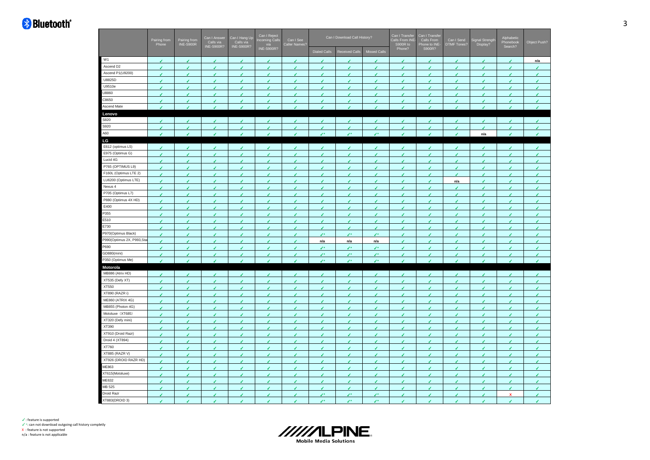|                          | Pairing from  | Pairing from<br>INE-S900R | Can I Answer<br>Calls via<br>INE-S900R? | Can I Hang Up<br>Calls via<br>INE-S900R? | Can I Reject<br>Incoming Call:<br>via | Can I See<br>Caller Names? |                        | Can I Download Call History? |                       | Can I Transfer<br>Calls From INE<br>S900R to | Can I Transfer<br>Calls From<br>Phone to INE- | Can I Send<br>DTMF Tones? | Signal Strengt<br>Display? | Alphabetic<br>Phonebook<br>Search? | Object Push?   |
|--------------------------|---------------|---------------------------|-----------------------------------------|------------------------------------------|---------------------------------------|----------------------------|------------------------|------------------------------|-----------------------|----------------------------------------------|-----------------------------------------------|---------------------------|----------------------------|------------------------------------|----------------|
|                          |               |                           |                                         |                                          | INE-S900R?                            |                            | <b>Dialed Calls</b>    | <b>Received Calls</b>        | <b>Missed Calls</b>   | Phone?                                       | S900R?                                        |                           |                            |                                    |                |
| W1                       |               | J                         |                                         |                                          |                                       | ◢                          |                        | ℐ                            |                       |                                              |                                               | ◢                         |                            |                                    | n/a            |
| Ascend D <sub>2</sub>    | v             | J                         | J                                       | J.                                       | ر                                     | ر                          | ر                      | J                            | ◢                     | J                                            | ٠                                             | J.                        | J.                         | J                                  | J.             |
| Ascend P1(U9200)         | v             | v                         | v                                       | ✔                                        | J                                     | J                          | v                      | J                            | ٠                     | ر                                            | $\epsilon$                                    | $\epsilon$                | ◢                          | J                                  | v              |
| U8825D                   | ✔             | ℐ                         | ✔                                       | ◢                                        | ℐ                                     | ✔                          | ✔                      | ✓                            | ✔                     | ✔                                            | ✔                                             | ✔                         | ◢                          | ∕                                  | v              |
| U9510e                   | v             | J                         | J                                       | ✔                                        | J                                     | ر                          | J                      | J                            | ر                     | J                                            | ر                                             | v                         | ر                          | J                                  | v              |
| U8860                    | v             | v                         | v                                       | ¥.                                       | v                                     | v                          | v                      | J.                           | ٠                     | ر                                            | ٠                                             | $\epsilon$                | V                          | J                                  | J.             |
| C8650                    | ✔             | ℐ                         | ✔                                       | ◢                                        | ◢                                     | ℐ                          | ℐ                      | ✓                            | J                     | ✔                                            | J                                             | J                         |                            | í                                  | ٠              |
| Ascend Mate              | J.            | $\overline{\mathbf{r}}$   | ×.                                      | ◢                                        | J.                                    | J.                         | J.                     | J.                           | J.                    | J.                                           | J.                                            | J.                        | $\overline{\mathcal{L}}$   | J.                                 | J.             |
| Lenovo                   |               |                           |                                         |                                          |                                       |                            |                        |                              |                       |                                              |                                               |                           |                            |                                    |                |
| S820                     |               | J                         |                                         | ◢                                        |                                       | J                          | ◢                      | s                            | ◢                     | J                                            | ◢                                             | J                         |                            |                                    | ر              |
| S920                     | ✔             | J                         | J                                       | ✔                                        | ۷                                     | v                          | J                      | J                            | ۷                     | J.                                           | J.                                            | v                         | <b>V</b>                   | J                                  | v              |
| A60                      | ر             | J                         | J                                       | ◢                                        | ٠                                     | ◢                          | $\mathcal{E}^{\pm}$    | J×                           | $\mathcal{L}^*$       | <b>V</b>                                     | <b>V</b>                                      | J                         | n/a                        | J                                  | $\epsilon$     |
| LG                       |               |                           |                                         |                                          |                                       |                            |                        |                              |                       |                                              |                                               |                           |                            |                                    |                |
| E612 (optimus L5)        |               | ✓                         |                                         | J                                        | ◢                                     | ✔                          | J                      | ✓                            | J                     | J                                            | J                                             | ✓                         | J                          | J                                  | v              |
| E975 (Optimus G)         | J.            | J                         | J.                                      | J.                                       | ◢                                     | ✔                          | v                      | v                            | J                     | ✔                                            | v                                             | v                         | J                          | ◢                                  | ✓              |
| Lucid 4G                 | ℐ             | ◢                         | J                                       | ◢                                        | ◢                                     | ◢                          | J                      | J                            | J                     | ℐ                                            | ◢                                             | ℐ                         |                            | ℐ                                  | J              |
| P765 (OPTIMUS L9)        | v             | ✓                         | v                                       | ✔                                        | ✔                                     | v                          | ✔                      | v                            | J                     | ✔                                            | v                                             | v                         | J                          | J.                                 | v              |
| F160L (Optimus LTE 2)    | v             | ✓                         | v                                       | J.                                       | ✔                                     | v                          | v                      | v                            | J                     | ℐ                                            | v                                             | v                         | ◢                          | J                                  | J.             |
| LU6200 (Optimus LTE)     | ✔             |                           | J                                       | ◢                                        |                                       | ℐ                          | ℐ                      | ℐ                            |                       | ∕                                            | ℐ                                             | n/a                       |                            | ∕                                  | ℐ              |
| Nexus 4                  | v             | ر                         | J                                       | ٠                                        | ◢                                     | ۶                          | ر                      | J                            | J                     | J                                            | J                                             | J                         | J.                         | s                                  | J              |
| P705 (Optimus L7)        | v             | v                         | v                                       | v                                        | ✔                                     | J                          | v                      | v                            | ٠                     | ر                                            | $\epsilon$                                    | $\epsilon$                | V                          | J                                  | ¥              |
| P880 (Optimus 4X HD)     | ✔             | ℐ                         | ✔                                       | J                                        | J                                     | ر                          | J                      | ✔                            | ✔                     | ✔                                            | ✔                                             | ✓                         | ◢                          | ∕                                  | ¥              |
| E400                     | V             | J                         | J                                       | ✔                                        | ر                                     | ر                          | J                      | J                            | ر                     | ر                                            | J.                                            | v                         | ر                          | J                                  | v              |
| P355                     | v             | v                         | v                                       | ¥.                                       | v                                     | v                          | v                      | ٠                            | ٠                     | ر                                            | ٠                                             | $\epsilon$                | ٠                          | J                                  | J.             |
| E510                     | ✔             | ℐ                         | ✔                                       | ر                                        | ◢                                     | ر                          | J                      | ℐ                            | ✔                     | ✔                                            | v                                             | J                         | J                          | í                                  | J.             |
| E730                     | v             | J                         | v                                       | ✔                                        | v                                     | v                          | J                      | J                            | ۷                     | í                                            | ۷                                             | J                         | ر                          | J                                  | ٠              |
| P970(Optimus Black)      | $\epsilon$    | v                         | v                                       | ¥.                                       | J.                                    | v                          | $\mathcal{L}^{\infty}$ | $\mathcal{L}^{\infty}$       | $\mathcal{L}^{\star}$ | v                                            | $\epsilon$                                    | $\epsilon$                | <b>V</b>                   | $\epsilon$                         | $\epsilon$     |
| P990(Optimus 2X, P993,St | ✔             | J                         | J                                       | J                                        | ◢                                     | J                          | n/a                    | n/a                          | n/a                   | ℐ                                            | J                                             | J                         |                            | J                                  | J.             |
| P690                     | v             | J                         | ✔                                       | ✔                                        | ✔                                     | ✔                          | ↙                      | v.                           | J×                    | v                                            | v                                             | v                         | J                          | k.                                 | v              |
| GD880(mini)              | v             | v                         | ✓                                       | ✓                                        | v                                     | v                          | $\mathcal{L}^*$        | v.                           | $\mathcal{L}^*$       | ✓                                            | $\epsilon$                                    | $\epsilon$                | ٠                          | ✓                                  | $\epsilon$     |
| P350 (Optimus Me)        | J.            | v                         | v                                       | v.                                       | J.                                    | J.                         | $\mathcal{L}^{\pm}$    | $\mathcal{L}^*$              | $\mathbf{r}$          | $\epsilon$                                   | J.                                            | $\mathcal{L}$             | J                          | $\mathcal{L}$                      | J.             |
| Motorola                 |               |                           |                                         |                                          |                                       |                            |                        |                              |                       |                                              |                                               |                           |                            |                                    |                |
| MB886 (Atrix HD)         | J             | J                         | J                                       | ✓                                        | ر                                     | v.                         | J                      | v                            | ✔                     | J                                            | ✔                                             | v                         | V                          | J                                  | $\epsilon$     |
| XT535 (Defy XT)          | ℐ             |                           | ◢                                       | J                                        | ◢                                     | ℐ                          | J                      | J                            | J                     | ◢                                            | ◢                                             | ℐ                         |                            |                                    | J              |
| XT550                    | v             | v                         | v                                       | ✓                                        | ✔                                     | v                          | v                      | v                            | ✔                     | v                                            | $\epsilon$                                    | v                         | V                          | J.                                 | v              |
| XT890 (RAZR i)           | J             | ✓                         | v                                       | J.                                       | ✔                                     | v                          | v                      | ✓                            | ◢                     | ℐ                                            | v                                             | v                         | ◢                          | J                                  | v              |
| ME860 (ATRIX 4G)         | ℐ             |                           | ◢                                       | ◢                                        |                                       | ℐ                          | ℐ                      | ℐ                            |                       | ◢                                            | ℐ                                             | ◢                         |                            | ℐ                                  | ◢              |
| MB855 (Photon 4G)        | J             | J                         | J                                       | ٠                                        | ◢                                     | ر                          | ر                      | s                            | ◢                     | J                                            | ٠                                             | $\bullet$                 | J.                         | J                                  | ٠              |
| Motoluxe (XT685)         | J             | ۶                         | J                                       | ر                                        | ر                                     | J                          | J                      | ℐ                            | J                     | ℐ                                            | ◢                                             | J                         | J                          | J                                  | J.             |
| XT320 (Defy mini)        | v             | J                         | ✔                                       | J                                        | J                                     | J                          | v                      | ℐ                            | v                     | ✔                                            | v                                             | ↙                         | J                          | ✔                                  | v              |
| XT390                    | v             | J                         | ✔                                       | ✔                                        | ر                                     | ر                          | J                      | J                            | ر                     | ر                                            | ٠                                             | v                         | ر                          | J                                  | Ÿ,             |
| XT910 (Droid Razr)       | v             | v                         | v                                       | ¥.                                       | J.                                    | v                          | v                      | ٠                            | ٠                     | ر                                            | ٠                                             | $\epsilon$                | J.                         | J                                  | J.             |
| Droid 4 (XT894)          | ✔             | ℐ                         | J.                                      | J.                                       | J                                     | J                          | J                      | ℐ                            | ✔                     | ℐ                                            | ٠                                             | J                         | J                          | í                                  | J.             |
| XT760                    | v             | J                         | J                                       | ✔                                        | v                                     | J                          | J                      | J                            | J                     | í                                            | ۷                                             | v                         | J                          | J                                  | v              |
| XT885 (RAZR V)           | $\mathcal{L}$ | v                         | v.                                      | ¥.                                       | v.                                    | v                          | $\epsilon$             | J.                           | J.                    | ¥.                                           | $\epsilon$                                    | $\epsilon$                | <b>V</b>                   | $\epsilon$                         | J.             |
| XT926 (DROID RAZR HD)    | ✔             | J                         | J                                       | ٠                                        | ◢                                     | J                          | J                      | J                            | J                     | J                                            | J                                             | J                         | J                          | J                                  | $\overline{f}$ |
| ME863                    | v             | J                         | ✓                                       | ✔                                        | ✔                                     | ✔                          | ✔                      | J                            | ٠                     | ✔                                            | v                                             | v                         | J                          | k.                                 | v              |
| XT615(Motoluxe)          | v             | v                         | ✓                                       | ✓                                        | ✔                                     | ✔                          | v                      | v                            | ٠                     | ✔                                            | $\epsilon$                                    | v                         | ٠                          | ✓                                  | v              |
| ME632                    | ✓             | J                         | ◢                                       | J                                        | ◢                                     | J                          | J                      | J                            | J                     | J                                            | J                                             | J                         | J                          | í                                  | J              |
| MB 525                   | v             | ✓                         | v                                       | ✔                                        | ✔                                     | ✔                          | ✔                      | J                            | ر                     | ✔                                            | ٠                                             | $\epsilon$                | J                          | v                                  | v              |
| Droid Razr               | v             | v                         | v                                       | ✓                                        | ✔                                     | ✔                          | $\mathcal{L}^*$        | $\mathcal{L}^*$              | $\mathcal{L}^*$       | í                                            | v                                             | J                         | J                          | x                                  | J.             |
| XT883(DROID 3)           | v             | ✔                         | ✔                                       | ◢                                        | ✔                                     | ◢                          | J×                     | z.                           |                       | ◢                                            | ℐ                                             | J                         | ◢                          | J                                  | ◢              |

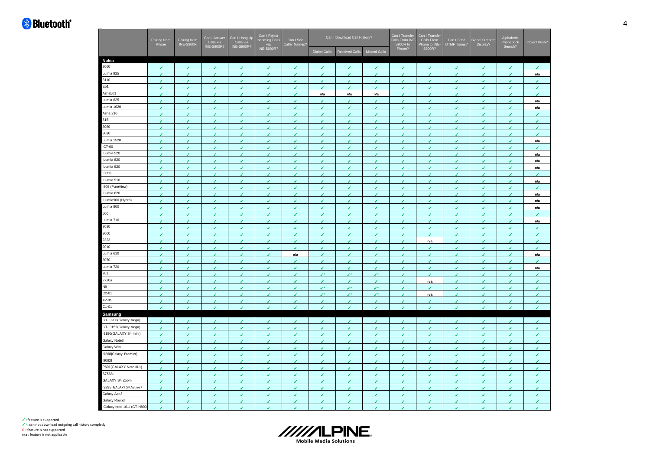|                           | Can I Answer<br>Pairing from<br>Pairing from<br>Calls via<br>INE-S900R?<br>INE-S900R<br>Phone |                          |               | Can I Hang Up<br>Calls via<br>INE-S900R? | Can I Reject<br>Incoming Calls<br>via<br>INE-S900R? | Can I See<br>Caller Names? |                     | Can I Download Call History? |              | Can I Transfer<br>Calls From INE- | Can I Transfer<br>Calls From | Can I Send<br><b>DTMF Tones?</b> | Signal Strength<br>Display? | Alphabetic<br>Phonebook<br>Search? | Object Push?            |
|---------------------------|-----------------------------------------------------------------------------------------------|--------------------------|---------------|------------------------------------------|-----------------------------------------------------|----------------------------|---------------------|------------------------------|--------------|-----------------------------------|------------------------------|----------------------------------|-----------------------------|------------------------------------|-------------------------|
|                           |                                                                                               |                          |               |                                          |                                                     |                            | <b>Dialed Calls</b> | Received Calls               | Missed Calls | S900R to<br>Phone?                | Phone to INE-<br>S900R?      |                                  |                             |                                    |                         |
| Nokia                     |                                                                                               |                          |               |                                          |                                                     |                            |                     |                              |              |                                   |                              |                                  |                             |                                    |                         |
| 2060                      | $\overline{\mathbf{r}}$                                                                       | J.                       | J             | $\mathcal{L}$                            | ٠                                                   | J.                         | J.                  | J.                           | J            | ۶                                 | J.                           | J.                               | $\mathcal{L}$               | J.                                 | $\overline{\mathbf{r}}$ |
| Lumia 925                 | $\mathcal{L}$                                                                                 | J                        | v             | $\epsilon$                               | v                                                   | J.                         | ۶                   | ۶                            | v            | ر                                 | $\overline{\mathbf{r}}$      | J.                               | v                           | J.                                 | n/a                     |
| 3110                      | v                                                                                             | ✓                        | v             | ✓                                        | v                                                   | ✔                          | ✔                   | ✔                            | ۷            | ✔                                 | v                            | J.                               | ✔                           | ✓                                  | ✔                       |
| E51                       | $\overline{\mathcal{L}}$                                                                      | J                        | ر             | v                                        | ٠                                                   | J                          | ۷                   | J.                           | ۶            | J                                 | ر                            | v                                | J                           | J                                  | J                       |
| Asha501                   | $\epsilon$                                                                                    | $\overline{\mathcal{L}}$ | $\epsilon$    | J.                                       | $\epsilon$                                          | ٠                          | n/a                 | n/a                          | n/a          | ٠                                 | ٠                            | v                                | v                           | J                                  | J.                      |
| Lumia 625                 | ✔                                                                                             | ℐ                        | J             | v                                        | ◢                                                   | ℐ                          | ◢                   | ◢                            | ◢            | ℐ                                 | ℐ                            | J                                | J                           | ◢                                  | n/a                     |
| Lumia 1020                | $\mathcal{L}$                                                                                 | $\epsilon$               | $\epsilon$    | $\epsilon$                               | ¥.                                                  | v                          | v                   | k.                           | v            | v                                 | v                            | k.                               | v                           | v                                  | n/a                     |
| Asha 210                  | ◢                                                                                             | J                        | ر             | ℐ                                        | ر                                                   | ℐ                          | ◢                   |                              | ◢            |                                   | ◢                            | ℐ                                | J                           |                                    | J                       |
| 515                       | $\mathcal{L}$                                                                                 | J                        | J             | z                                        | J                                                   | J                          |                     | v                            | ٠            | J                                 | J                            | J                                | J                           |                                    | J                       |
| 3080                      | $\mathcal I$                                                                                  | $\epsilon$               | $\epsilon$    | $\epsilon$                               | ٠                                                   | ٠                          | J                   | J.                           | J.           | J                                 | $\epsilon$                   | J                                | $\epsilon$                  | J.                                 | $\epsilon$              |
| 3090                      |                                                                                               |                          |               |                                          |                                                     |                            |                     |                              |              |                                   |                              |                                  |                             |                                    |                         |
| Lumia 1520                | ✓                                                                                             | ✔<br>J                   | ✔<br>J        | ✔<br>J                                   | ✔<br>ر                                              | ✔<br>ر                     | ✔<br>J              | ✔<br>J                       | ✔            | ✔<br>J                            | ✔                            | ✔<br>J                           | J<br>J                      | ✔<br>J                             | ✔                       |
| C7-00                     | $\epsilon$                                                                                    |                          |               |                                          |                                                     |                            |                     |                              | J            |                                   | J                            |                                  |                             |                                    | n/a                     |
| Lumia 520                 | $\epsilon$                                                                                    | J                        | ✔             | v.                                       | J.                                                  | J.                         | v                   | J.                           | J.           | J                                 | ✔                            | v.                               | k.                          | J                                  | J                       |
| Lumia 820                 | $\mathcal{L}$                                                                                 | J                        | $\mathcal{L}$ | J.                                       | J.                                                  | J.                         | J.                  | J.                           | J.           | J.                                | J.                           | J.                               | $\mathcal{L}$               | J.                                 | n/a                     |
|                           | ✔                                                                                             | J                        | J             | J                                        | J                                                   | ✔                          | ✔                   | ℐ                            | ◢            | ◢                                 | ✔                            | ✔                                | J                           | ◢                                  | n/a                     |
| Lumia 920<br>3050         | v                                                                                             | ✓                        | ✓             | ✓                                        | ✔                                                   | ✔                          | ℐ                   | ✓                            | ✔            | ✔                                 | ✔                            | ✓                                | ✔                           | ✔                                  | n/a                     |
|                           | J                                                                                             | J                        | J             | J                                        | ر                                                   | ر                          | J                   | J                            | ر            | ◢                                 | J                            | ✓                                | J                           | ℐ                                  | J                       |
| Lumia 510                 | $\epsilon$                                                                                    | J                        | J             | ◢                                        | ر                                                   | ◢                          | J                   | J                            | J            | ◢                                 | ◢                            | ◢                                | J                           | ℐ                                  | n/a                     |
| 808 (PureView)            | J.                                                                                            | J                        | J             | J                                        | ر                                                   | ر                          | J                   | J                            | ◢            | ◢                                 | J                            | J                                | J                           |                                    | J                       |
| Lumia 620                 | ۷                                                                                             | v                        | v             | $\epsilon$                               | ٠                                                   | J                          | ۶                   | v                            | v            | ✓                                 | v                            | v                                | v                           | v                                  | n/a                     |
| Lumia900 (Hydra)          | ✔                                                                                             | ℐ                        | ✔             | ℐ                                        | ◢                                                   | ✔                          |                     | ℐ                            | ✔            | ℐ                                 | ✔                            | ℐ                                | ◢                           | ℐ                                  | n/a                     |
| Lumia 800                 | V                                                                                             | J                        | J             | J                                        | ر                                                   | J                          | ر                   | J                            | J            | J                                 | J                            | J                                | J                           | ℐ                                  | n/a                     |
| 500                       | $\epsilon$                                                                                    | $\epsilon$               | $\epsilon$    | $\epsilon$                               | ر                                                   | v                          | v                   | J.                           | v            | v                                 | v                            | v                                | $\epsilon$                  | J.                                 | v                       |
| Lumia 710                 | ٠                                                                                             | ℐ                        | ✔             | v                                        | ✔                                                   | ℐ                          | ◢                   | ℐ                            | ✔            | ℐ                                 | ✔                            | J                                | J                           | ℐ                                  | n/a                     |
| 3030                      | $\mathcal{L}$                                                                                 | J                        | J.            | J.                                       | ٠                                                   | J                          | J.                  | J.                           | J            | z.                                | v                            | J.                               | J.                          | J.                                 | J                       |
| 3000                      | $\epsilon$                                                                                    | ✔                        | $\epsilon$    | $\epsilon$                               | J.                                                  | v                          | v                   | J.                           | ٠            | z.                                | v                            | J.                               | k.                          | J.                                 | v                       |
| 2323                      | $\mathcal{L}$                                                                                 | v                        | $\epsilon$    | k.                                       | v                                                   | v                          | V                   | k.                           | v            | ¥.                                | n/a                          | k.                               | $\mathcal{L}$               | k.                                 | $\mathcal{L}$           |
| 2010                      | J                                                                                             | J                        | ر             | J                                        | ٠                                                   | ◢                          | ◢                   | J                            | ◢            | ◢                                 | ℐ                            | J                                | J                           | ℐ                                  | ◢                       |
| Lumia 610                 | ✓                                                                                             | ✔                        | J             | ◢                                        | ✔                                                   | n/a                        | ✔                   | J                            | ✔            | ✔                                 | ✔                            | ✓                                | ✔                           | ℐ                                  | n/a                     |
| 3070                      | $\epsilon$                                                                                    | J                        | ✔             | v                                        | J                                                   | J                          | ✔                   | ✔                            | J            | k.                                | J                            | J.                               | ✓                           | ✓                                  | J                       |
| Lumia 720                 | $\epsilon$                                                                                    | J                        | ✔             | J                                        | ٠                                                   | ر                          | J                   | J                            | J            | J                                 | v                            | J                                | J                           | J                                  | n/a                     |
| 701                       | $\mathcal{L}$                                                                                 | J                        | J.            | J.                                       | ر                                                   | ر                          | J×.                 | J×                           | J×           | J.                                | J                            | J.                               | J.                          | s                                  | J                       |
| 2720a                     | $\checkmark$                                                                                  | ✔                        | J             | ✔                                        | ✔                                                   | J                          | J                   | J                            | ◢            | ✔                                 | n/a                          | ✓                                | v                           | ◢                                  | ✔                       |
| N9                        | ✔                                                                                             | ✔                        | ✔             | ✔                                        | ✔                                                   | ∕                          | ↙                   | v.                           | ↙            | ✔                                 | ✔                            | ✓                                | ✔                           | ℐ                                  | ✔                       |
| $C2 - 01$                 | J                                                                                             |                          |               | J                                        | J                                                   | J                          | z.                  | z.                           | J×           |                                   | n/a                          |                                  |                             |                                    |                         |
| X2-01                     | $\epsilon$                                                                                    | ✓                        | v             | v                                        | v                                                   | v                          | J.                  | v                            | v            | ↙                                 | J                            | v.                               | $\epsilon$                  | ✓                                  | v                       |
| $C1 - 01$                 | $\epsilon$                                                                                    | ℐ                        | J             | J                                        | ر                                                   | ٠                          | ۶                   | J                            | ر            | ✓                                 | ◢                            | J                                | J                           | J                                  | v                       |
| Samsung                   |                                                                                               |                          |               |                                          |                                                     |                            |                     |                              |              |                                   |                              |                                  |                             |                                    |                         |
| GT-I9200(Galaxy Mega)     | J                                                                                             | J                        |               | J                                        |                                                     |                            |                     |                              | ◢            |                                   | J                            | ✔                                | J                           |                                    | J                       |
| GT-19152(Galaxy Mega)     | $\mathcal{L}$                                                                                 | ✔                        | $\mathcal{L}$ | k.                                       | v                                                   | z                          | v                   | v.                           | v            | k.                                | v                            | k.                               | Î.                          | ◢                                  | k.                      |
| 19190(GALAXY S4 mini)     | $\epsilon$                                                                                    | ◢                        | ◢             | ◢                                        | ◢                                                   | ℐ                          | ٠                   | ◢                            | ◢            | ℐ                                 | ◢                            | J                                | J                           | J                                  | ر                       |
| Galaxy Note3              | ✓                                                                                             | ✔                        | v             | ✔                                        | ◢                                                   | ℐ                          | ◢                   | J                            | ◢            | ◢                                 | ✔                            | ✓                                | J                           | ◢                                  | ✔                       |
| Galaxy Win                | $\mathcal{L}$                                                                                 | k.                       | v             | v                                        | V                                                   | V                          | v                   | v                            | J            | k.                                | v                            | v                                | k.                          | v                                  | v                       |
| i9268(Galaxy Premier)     | v                                                                                             | J                        | J             | ٠                                        | ٠                                                   | ر                          | J                   | J                            | ٠            | J                                 | v                            | J                                | J                           | J                                  | ✔                       |
| i9082l                    | $\mathcal{L}$                                                                                 | J.                       | J.            | J.                                       | J.                                                  | J                          | J.                  | J.                           | J.           | J.                                | v                            | J.                               | v                           | z                                  | J.                      |
| P601(GALAXY Note10.1)     |                                                                                               |                          |               |                                          |                                                     |                            |                     |                              |              |                                   |                              |                                  |                             | ◢                                  |                         |
| S7568I                    | ✔                                                                                             | ℐ                        | J             | v                                        | ◢                                                   | ◢                          | J                   | J                            | ◢            | ◢                                 | J                            | ◢                                | k.                          |                                    | v                       |
| GALAXY S4 Zoom            | ✓                                                                                             | ✔                        | ✔             | ✔                                        | ✔                                                   | ✔                          | ✔                   | ✔                            | ✔            | ✔                                 | ✔                            | ✓                                | ✔                           | ✓                                  | ✔                       |
|                           | J                                                                                             | J                        | J             | J                                        | ر                                                   | J                          | J                   | J                            |              |                                   | ◢                            | J                                | J                           | ◢                                  | J                       |
| 19295 GALAXY S4 Active)   | $\epsilon$                                                                                    | ✓                        | v             | ✓                                        | v                                                   | J                          | J                   | J                            | ✓            | J                                 | ✔                            | ✓                                | ✓                           | J.                                 | ✔                       |
| Galaxy Ace3               | $\mathcal{L}$                                                                                 | J                        | J             | J.                                       | J                                                   | ر                          | J                   | J                            | J            | J                                 | ٠                            | J.                               | J.                          | J                                  | J                       |
| Galaxy Round              | ✓                                                                                             | J                        | J             | J                                        | J                                                   | ر                          | J                   | J                            | ✔            | ◢                                 | ٠                            | J                                | J                           | J                                  | J                       |
| Galaxy note 10.1 (GT-N800 | v                                                                                             | J                        | J.            | J.                                       | ٠                                                   | J                          | ◢                   | J                            | ر            | J                                 | ◢                            | v                                | J                           | J                                  | v                       |

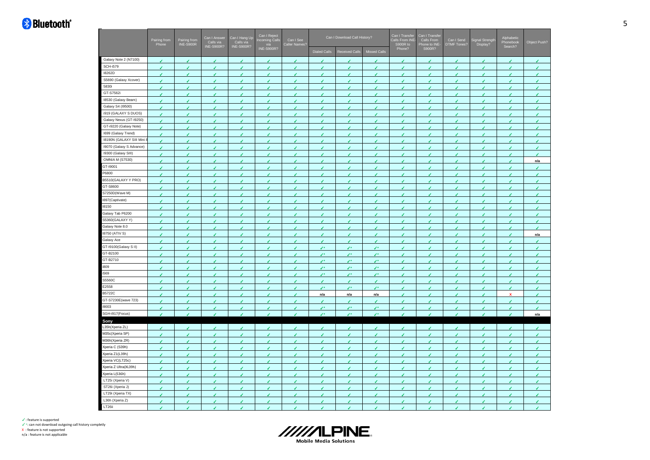|                          | Pairing from<br>Phone    | Can I Answer<br>Can I Hang Up<br>Calls via<br>INE-S900R?<br>Pairing from<br>INE-S900R<br>Calls via<br>INE-S900R? |                          | Can I Reject<br>Incoming Calls<br>via<br>INE-S900R? | Can I See<br>Caller Names? |                          | Can I Download Call History? |                       | Can I Transfer<br>Calls From INE<br>S900R to | Can I Transfer<br>Calls From<br>Phone to INE- | Can I Send<br>DTMF Tones? | gnal Strength<br>Display? | Alphabetic<br>Phonebook<br>Search? | Object Push? |     |
|--------------------------|--------------------------|------------------------------------------------------------------------------------------------------------------|--------------------------|-----------------------------------------------------|----------------------------|--------------------------|------------------------------|-----------------------|----------------------------------------------|-----------------------------------------------|---------------------------|---------------------------|------------------------------------|--------------|-----|
|                          |                          |                                                                                                                  |                          |                                                     |                            |                          | <b>Dialed Calls</b>          | <b>Received Calls</b> | Missed Calls                                 | Phone?                                        | S900R?                    |                           |                                    |              |     |
| Galaxy Note 2 (N7100)    |                          |                                                                                                                  |                          |                                                     |                            |                          |                              |                       |                                              |                                               |                           |                           |                                    |              | ◢   |
| <b>SCH-i579</b>          | ✔                        | ✔                                                                                                                | ✔                        | ✔                                                   | ✔                          | ✔                        | ✔                            | ✔                     | ◢                                            | ℐ                                             | J                         | ✔                         | v                                  | ◢            | v   |
| I8262D                   | v                        | ✔                                                                                                                | ✔                        | ✔                                                   | ✔                          | ✔                        | ✔                            | ℐ                     | ✔                                            |                                               | ✔                         | ✔                         | ✔                                  |              | ✔   |
| S5690 (Galaxy Xcover)    | k.                       | J                                                                                                                | v                        | J                                                   | ۷                          | J                        | J                            | J                     | ر                                            |                                               | J                         | í                         | J                                  |              | J   |
| 5830i                    | $\epsilon$               | J.                                                                                                               | v.                       | $\epsilon$                                          | $\epsilon$                 | $\epsilon$               | $\epsilon$                   | v.                    | v                                            | v                                             | v                         | v                         | $\epsilon$                         | J            | v   |
| GT-S7562i                | ✔                        | ✔                                                                                                                | ✔                        | ◢                                                   | ✔                          | J                        | ◢                            | J                     | ✔                                            | ℐ                                             | ر                         | ℐ                         | ℐ                                  | ◢            | ℐ   |
| 18530 (Galaxy Beam)      | $\epsilon$               | J                                                                                                                | ✔                        | ر                                                   | J.                         | ر                        | v                            | v                     | ر                                            | ℐ                                             | v                         | J.                        | J                                  | s            | v   |
| Galaxy S4 (19500)        | $\epsilon$               | v.                                                                                                               | v.                       | ↙                                                   | ٠                          | v                        | $\epsilon$                   | v.                    | ٠                                            | z.                                            | v                         | ↙                         | v                                  | ◢            | ¥.  |
| i919 (GALAXY S DUOS)     | $\mathcal{L}$            | J.                                                                                                               | J.                       | k.                                                  | J.                         | v                        | $\mathcal{L}$                | J.                    | $\epsilon$                                   | z.                                            | k.                        | J.                        | J                                  | J.           | v   |
| Galaxy Nexus (GT-19250)  | J                        | ◢                                                                                                                | ◢                        | J.                                                  | ◢                          | ◢                        | ℐ                            | ٠                     | ◢                                            | ◢                                             | J                         | J                         | ◢                                  | ℐ            | ◢   |
| GT-i9220 (Galaxy Note)   | v                        | ✓                                                                                                                | ✓                        | ✔                                                   | ◢                          | ◢                        | J                            | k.                    | ✔                                            | ◢                                             | ✔                         | ◢                         | ✔                                  | ∕            | J.  |
| 1699 (Galaxy Trend)      | $\epsilon$               | J                                                                                                                | J                        | J                                                   | J                          | ✔                        | J                            | J                     | J                                            |                                               | J                         | J.                        | J                                  |              | J   |
| 18190N (GALAXY SIII Mini | $\epsilon$               | v                                                                                                                | v                        | ✓                                                   | ۷                          | v                        | ٠                            | J                     | ✓                                            | J                                             | ✔                         | v                         | ✓                                  | J            | v   |
| 19070 (Galaxy S Advance) | J                        | J                                                                                                                | J                        | J                                                   | J                          | ℐ                        | ◢                            | ◢                     |                                              |                                               | ◢                         | ◢                         | ◢                                  |              | ℐ   |
| 19300 (Galaxy SIII)      | $\epsilon$               | v                                                                                                                | ✓                        | ¥.                                                  | ✔                          | J                        | $\mathcal{L}$                | v                     | ✔                                            | J                                             | v                         | v.                        | ✓                                  | J            | J.  |
| <b>OMNIA M (S7530)</b>   | ◢                        | ℐ                                                                                                                | ✔                        | ✔                                                   | J                          | J                        | ◢                            | J                     | ◢                                            |                                               | ✔                         | ✔                         | J                                  |              | n/a |
| GT-19001                 | J                        |                                                                                                                  | J                        |                                                     |                            |                          |                              |                       |                                              |                                               |                           |                           |                                    |              |     |
| P6800                    | $\epsilon$               | J.                                                                                                               | $\overline{\mathcal{L}}$ | $\epsilon$                                          | ◢                          | $\overline{\mathcal{L}}$ | $\mathcal{L}$                | J.                    | ◢                                            | J.                                            | $\mathcal{L}$             | J.                        | $\mathcal{L}$                      | J            | J.  |
| B5510(GALAXY Y PRO)      | J                        | ℐ                                                                                                                | ℐ                        | ✔                                                   | J                          | J                        | ℐ                            |                       |                                              |                                               | J                         | ✔                         | J                                  |              | í   |
| GT-S8600                 | v                        | J                                                                                                                | ر                        | J                                                   | ر                          | J                        | J.                           | J                     |                                              | ◢                                             | ر                         | J                         | J                                  | ı            | J   |
| S7250D(Wave M)           | v.                       | J.                                                                                                               | v.                       | ¥.                                                  | v                          | v                        | v                            | $\mathcal{L}$         | v                                            | J.                                            | ¥.                        | v.                        | Î.                                 | J.           | ¥.  |
| 1897(Captivate)          | ✔                        | ✔                                                                                                                | ✔                        | ◢                                                   | J                          | ✔                        | ◢                            | ◢                     | ◢                                            | ◢                                             | ر                         | ◢                         | J                                  | ℐ            | ◢   |
| 18150                    | $\epsilon$               | ٠                                                                                                                | ✔                        | J                                                   | ٠                          | ٠                        | ٠                            | v                     | v                                            | J                                             | v                         | J.                        | v                                  | z            | v   |
| Galaxy Tab P6200         | ✔                        | ✔                                                                                                                | ✔                        | ✔                                                   | J                          | J                        | J                            | ✔                     | ✔                                            |                                               | v                         | ✓                         | J                                  |              | ✓   |
| S5360(GALAXY Y)          | $\epsilon$               | v                                                                                                                | v                        | J                                                   | ر                          | J                        | v                            | v                     | v                                            | J                                             | v                         | J.                        | J                                  | J            | J   |
| Galaxy Note 8.0          | $\epsilon$               | J.                                                                                                               | s.                       | J.                                                  | ر                          | ◢                        | J.                           | ٠                     | J.                                           | J                                             | v                         | J                         | J                                  | ◢            | J.  |
| 18750 (ATIV S)           | ✔                        | J                                                                                                                | ✔                        | ◢                                                   | J                          | ℐ                        | ◢                            | J                     | ◢                                            | ◢                                             | ◢                         | ℐ                         | J                                  | ℐ            | n/a |
| Galaxy Ace               | $\mathcal{L}$            | ✔                                                                                                                | ✓                        | v                                                   | V                          | v                        | $\epsilon$                   | v                     | J.                                           | k.                                            | V                         | J.                        | k.                                 | J.           | ✔   |
| GT-I9100(Galaxy S II)    | $\epsilon$               | J                                                                                                                | ✔                        | J                                                   | ر                          | J                        | $\mathcal{L}^*$              | v.                    | v.                                           | J                                             | ✔                         | J                         | J                                  | J            | J   |
| GT-B2100                 | $\mathcal{L}$            | J.                                                                                                               | J.                       | J.                                                  | ر                          | J                        | $\mathcal{L}^{\pm}$          | z.                    | z.                                           | z                                             | v                         | J.                        | J                                  | ∕            | J.  |
| GT-B2710                 | v                        | J                                                                                                                | ✓                        | J.                                                  | ✔                          | J                        | $\mathcal{L}^{\pm}$          | z.                    | z.                                           | ◢                                             | J                         | J.                        | J                                  | ◢            | J   |
| i809                     | ✔                        | ✔                                                                                                                | ✓                        | ✔                                                   | ر                          | ℐ                        | V.                           | ¥.                    | ×,                                           | ℐ                                             | ✔                         | ◢                         | J                                  |              | ℐ   |
| i569                     |                          |                                                                                                                  |                          |                                                     |                            | J                        | v.                           | z.                    | ✓                                            |                                               |                           |                           |                                    |              | ◢   |
| S5560C                   | $\mathcal{L}$            | v                                                                                                                | v                        | ¥.                                                  | v                          | v                        | $\epsilon$                   | v.                    | v                                            | J.                                            | v.                        | v.                        | $\epsilon$                         | J            | v.  |
| E2558                    | ◢                        | J                                                                                                                | ◢                        | ◢                                                   | J                          | J                        | $\mathcal{L}^{\pm}$          | J×.                   | J×                                           |                                               | ◢                         | ◢                         | J                                  |              | ℐ   |
| B5722C                   | J                        | J                                                                                                                | J                        | J                                                   | J                          | J                        | n/a                          | n/a                   | n/a                                          | ◢                                             | ر                         | J                         | J                                  | $\mathbf{x}$ | ٠   |
| GT-S7230E(wave 723)      | J                        | J                                                                                                                | J                        | ↙                                                   | J                          | J                        |                              | ✓                     | ◢                                            |                                               | J                         | ↙                         | J                                  | ∕            | v   |
| i9003                    | ر                        | J                                                                                                                | J                        | ر                                                   | ر                          | J                        | J×                           | J×                    | J×                                           |                                               | ر                         |                           | J                                  |              |     |
| SGH-i917(Focus)          | ◢                        | J.                                                                                                               | J                        | ٠                                                   | ٠                          | ٠                        | $\mathcal{E}^{\pm}$          | $\mathcal{E}^{\star}$ | $\mathcal{L}^*$                              | J                                             | v                         | J.                        | ر                                  | J            | n/a |
| Sony                     |                          |                                                                                                                  |                          |                                                     |                            |                          |                              |                       |                                              |                                               |                           |                           |                                    |              |     |
| L35h(Xperia ZL)          |                          | J                                                                                                                |                          | z.                                                  | ۷                          | J                        | J                            | J.                    | ر                                            |                                               | ◢                         | J.                        | J                                  | s            | ¥.  |
| M35c(Xperia SP)          | $\epsilon$               | v                                                                                                                | v                        | $\epsilon$                                          | $\overline{\mathcal{L}}$   | v                        | ٠                            | v                     | v                                            | v                                             | v                         | v                         | $\epsilon$                         | ◢            | ¥.  |
| M36h(Xperia ZR)          | ✔                        | ✔                                                                                                                | ✔                        | ◢                                                   | ◢                          | ✔                        | ◢                            | J                     |                                              |                                               | ◢                         | J                         | ◢                                  |              | ◢   |
| Xperia C (S39h)          | v                        | ✓                                                                                                                | ✓                        | v                                                   | v                          | v                        | ٠                            | v                     | J                                            | J                                             | ✔                         | ↙                         | ✔                                  | ◢            | v   |
| Xperia Z1(L39h)          | ✔                        | ✔                                                                                                                | ✔                        | ✔                                                   | J                          | ✔                        | ✔                            | ✔                     | ✔                                            | ✔                                             | ✔                         | ✓                         | J                                  |              | ✔   |
| Xperia VC(LT25c)         | J                        | J                                                                                                                | J                        | J                                                   | J                          | J                        |                              | J                     | ر                                            |                                               | J                         | J                         | J                                  |              | J   |
| Xperia Z Ultra(XL39h)    | $\overline{\mathcal{L}}$ | J.                                                                                                               | $\epsilon$               | $\epsilon$                                          | ٠                          | $\epsilon$               | J                            | J.                    | J.                                           | J.                                            | J.                        | v.                        | $\epsilon$                         | ℐ            | J.  |
| Xperia L(S36h)           | ✔                        | ✔                                                                                                                | ✔                        | J                                                   | ✔                          | ℐ                        | ℐ                            | J                     | ✔                                            | ◢                                             | ✔                         | ◢                         | J                                  | ∕            | J   |
| LT25i (Xperia V)         | v                        | J                                                                                                                | ✓                        | J                                                   | J                          | J                        | J                            | J                     | J                                            | J                                             | J                         | J                         | J                                  | s            | J   |
| ST26i (Xperia J)         | $\epsilon$               | v                                                                                                                | ✓                        | ✓                                                   | ر                          | ✓                        | $\overline{I}$               | J.                    | ٠                                            | J                                             | ✔                         | ↙                         | J                                  | J            | J.  |
| LT29i (Xperia TX)        | $\mathcal{L}$            | J.                                                                                                               | J.                       | J.                                                  | ر                          | J                        | $\mathcal{L}$                | J.                    | J                                            | J.                                            | J.                        | J.                        | J                                  | s            | J.  |
| L36h (Xperia Z)          | v                        | ℐ                                                                                                                | ✔                        | ✔                                                   | J                          | ℐ                        | J                            | J                     | ✔                                            | ◢                                             | ر                         | J                         | J                                  | J            | ر   |
| LT26ii                   | ◢                        | ◢                                                                                                                | ◢                        | ℐ                                                   | J                          | J                        | J                            | ◢                     | ◢                                            | J                                             | J                         | J                         | J                                  | ◢            | ٠   |